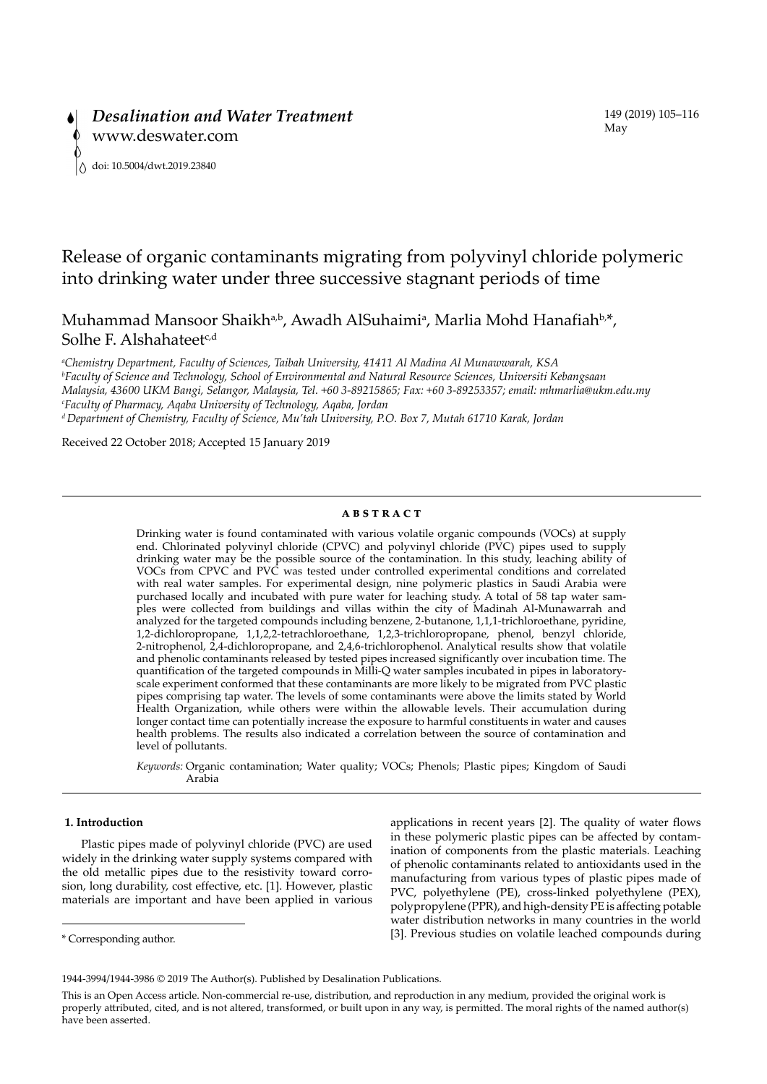# Release of organic contaminants migrating from polyvinyl chloride polymeric into drinking water under three successive stagnant periods of time

Muhammad Mansoor Shaikh<sup>a,b</sup>, Awadh AlSuhaimi<sup>a</sup>, Marlia Mohd Hanafiah<sup>b,\*</sup>, Solhe F. Alshahateet $c,d$ 

*a Chemistry Department, Faculty of Sciences, Taibah University, 41411 Al Madina Al Munawwarah, KSA b Faculty of Science and Technology, School of Environmental and Natural Resource Sciences, Universiti Kebangsaan Malaysia, 43600 UKM Bangi, Selangor, Malaysia, Tel. +60 3-89215865; Fax: +60 3-89253357; email: mhmarlia@ukm.edu.my c Faculty of Pharmacy, Aqaba University of Technology, Aqaba, Jordan d Department of Chemistry, Faculty of Science, Mu'tah University, P.O. Box 7, Mutah 61710 Karak, Jordan*

Received 22 October 2018; Accepted 15 January 2019

## **ABSTRACT**

Drinking water is found contaminated with various volatile organic compounds (VOCs) at supply end. Chlorinated polyvinyl chloride (CPVC) and polyvinyl chloride (PVC) pipes used to supply drinking water may be the possible source of the contamination. In this study, leaching ability of VOCs from CPVC and PVC was tested under controlled experimental conditions and correlated with real water samples. For experimental design, nine polymeric plastics in Saudi Arabia were purchased locally and incubated with pure water for leaching study. A total of 58 tap water samples were collected from buildings and villas within the city of Madinah Al-Munawarrah and analyzed for the targeted compounds including benzene, 2-butanone, 1,1,1-trichloroethane, pyridine, 1,2-dichloropropane, 1,1,2,2-tetrachloroethane, 1,2,3-trichloropropane, phenol, benzyl chloride, 2-nitrophenol, 2,4-dichloropropane, and 2,4,6-trichlorophenol. Analytical results show that volatile and phenolic contaminants released by tested pipes increased significantly over incubation time. The quantification of the targeted compounds in Milli-Q water samples incubated in pipes in laboratoryscale experiment conformed that these contaminants are more likely to be migrated from PVC plastic pipes comprising tap water. The levels of some contaminants were above the limits stated by World Health Organization, while others were within the allowable levels. Their accumulation during longer contact time can potentially increase the exposure to harmful constituents in water and causes health problems. The results also indicated a correlation between the source of contamination and level of pollutants.

*Keywords:* Organic contamination; Water quality; VOCs; Phenols; Plastic pipes; Kingdom of Saudi Arabia

## **1. Introduction**

Plastic pipes made of polyvinyl chloride (PVC) are used widely in the drinking water supply systems compared with the old metallic pipes due to the resistivity toward corrosion, long durability, cost effective, etc. [1]. However, plastic materials are important and have been applied in various

\* Corresponding author.

applications in recent years [2]. The quality of water flows in these polymeric plastic pipes can be affected by contamination of components from the plastic materials. Leaching of phenolic contaminants related to antioxidants used in the manufacturing from various types of plastic pipes made of PVC, polyethylene (PE), cross-linked polyethylene (PEX), polypropylene (PPR), and high-density PE is affecting potable water distribution networks in many countries in the world [3]. Previous studies on volatile leached compounds during

<sup>1944-3994/1944-3986 © 2019</sup> The Author(s). Published by Desalination Publications.

This is an Open Access article. Non-commercial re-use, distribution, and reproduction in any medium, provided the original work is properly attributed, cited, and is not altered, transformed, or built upon in any way, is permitted. The moral rights of the named author(s) have been asserted.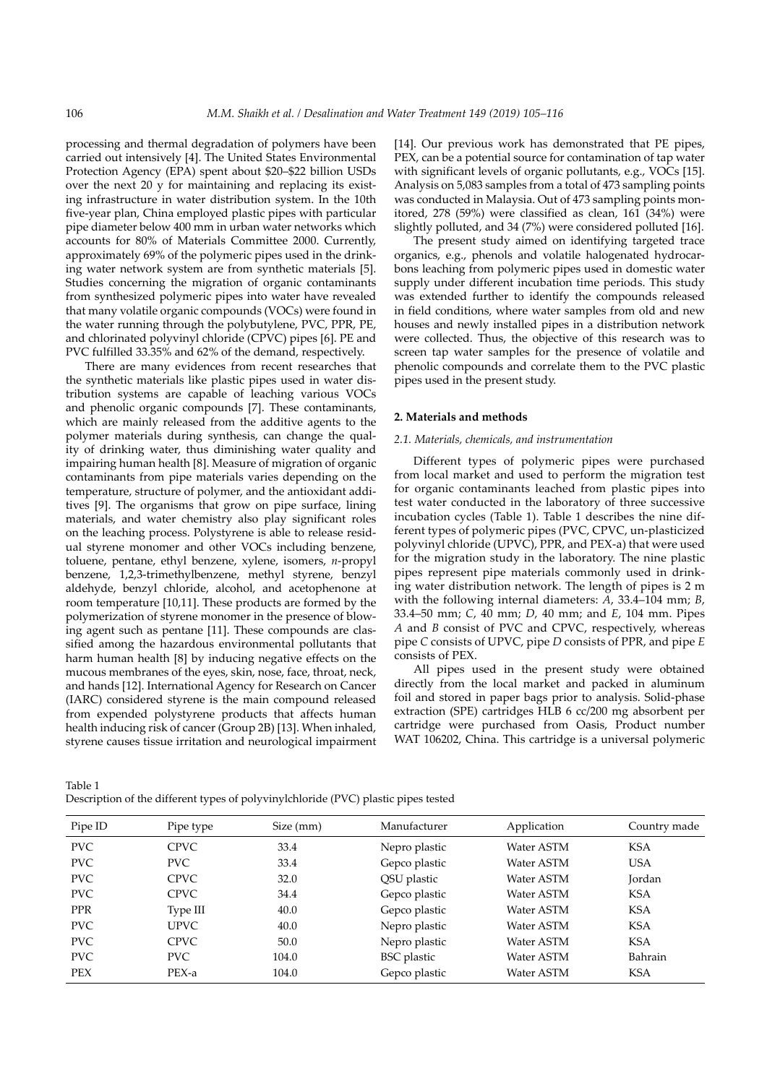processing and thermal degradation of polymers have been carried out intensively [4]. The United States Environmental Protection Agency (EPA) spent about \$20–\$22 billion USDs over the next 20 y for maintaining and replacing its existing infrastructure in water distribution system. In the 10th five-year plan, China employed plastic pipes with particular pipe diameter below 400 mm in urban water networks which accounts for 80% of Materials Committee 2000. Currently, approximately 69% of the polymeric pipes used in the drinking water network system are from synthetic materials [5]. Studies concerning the migration of organic contaminants from synthesized polymeric pipes into water have revealed that many volatile organic compounds (VOCs) were found in the water running through the polybutylene, PVC, PPR, PE, and chlorinated polyvinyl chloride (CPVC) pipes [6]. PE and PVC fulfilled 33.35% and 62% of the demand, respectively.

There are many evidences from recent researches that the synthetic materials like plastic pipes used in water distribution systems are capable of leaching various VOCs and phenolic organic compounds [7]. These contaminants, which are mainly released from the additive agents to the polymer materials during synthesis, can change the quality of drinking water, thus diminishing water quality and impairing human health [8]. Measure of migration of organic contaminants from pipe materials varies depending on the temperature, structure of polymer, and the antioxidant additives [9]. The organisms that grow on pipe surface, lining materials, and water chemistry also play significant roles on the leaching process. Polystyrene is able to release residual styrene monomer and other VOCs including benzene, toluene, pentane, ethyl benzene, xylene, isomers, *n*-propyl benzene, 1,2,3-trimethylbenzene, methyl styrene, benzyl aldehyde, benzyl chloride, alcohol, and acetophenone at room temperature [10,11]. These products are formed by the polymerization of styrene monomer in the presence of blowing agent such as pentane [11]. These compounds are classified among the hazardous environmental pollutants that harm human health [8] by inducing negative effects on the mucous membranes of the eyes, skin, nose, face, throat, neck, and hands [12]. International Agency for Research on Cancer (IARC) considered styrene is the main compound released from expended polystyrene products that affects human health inducing risk of cancer (Group 2B) [13]. When inhaled, styrene causes tissue irritation and neurological impairment

[14]. Our previous work has demonstrated that PE pipes, PEX, can be a potential source for contamination of tap water with significant levels of organic pollutants, e.g., VOCs [15]. Analysis on 5,083 samples from a total of 473 sampling points was conducted in Malaysia. Out of 473 sampling points monitored, 278 (59%) were classified as clean, 161 (34%) were slightly polluted, and 34 (7%) were considered polluted [16].

The present study aimed on identifying targeted trace organics, e.g., phenols and volatile halogenated hydrocarbons leaching from polymeric pipes used in domestic water supply under different incubation time periods. This study was extended further to identify the compounds released in field conditions, where water samples from old and new houses and newly installed pipes in a distribution network were collected. Thus, the objective of this research was to screen tap water samples for the presence of volatile and phenolic compounds and correlate them to the PVC plastic pipes used in the present study.

## **2. Materials and methods**

## *2.1. Materials, chemicals, and instrumentation*

Different types of polymeric pipes were purchased from local market and used to perform the migration test for organic contaminants leached from plastic pipes into test water conducted in the laboratory of three successive incubation cycles (Table 1). Table 1 describes the nine different types of polymeric pipes (PVC, CPVC, un-plasticized polyvinyl chloride (UPVC), PPR, and PEX-a) that were used for the migration study in the laboratory. The nine plastic pipes represent pipe materials commonly used in drinking water distribution network. The length of pipes is 2 m with the following internal diameters: *A*, 33.4–104 mm; *B*, 33.4–50 mm; *C*, 40 mm; *D*, 40 mm; and *E*, 104 mm. Pipes *A* and *B* consist of PVC and CPVC, respectively, whereas pipe *C* consists of UPVC, pipe *D* consists of PPR, and pipe *E* consists of PEX.

All pipes used in the present study were obtained directly from the local market and packed in aluminum foil and stored in paper bags prior to analysis. Solid-phase extraction (SPE) cartridges HLB 6 cc/200 mg absorbent per cartridge were purchased from Oasis, Product number WAT 106202, China. This cartridge is a universal polymeric

| Table 1                                                                            |  |
|------------------------------------------------------------------------------------|--|
| Description of the different types of polyvinylchloride (PVC) plastic pipes tested |  |

| Pipe ID    | Pipe type   | Size (mm) | Manufacturer       | Application | Country made |
|------------|-------------|-----------|--------------------|-------------|--------------|
| <b>PVC</b> | <b>CPVC</b> | 33.4      | Nepro plastic      | Water ASTM  | <b>KSA</b>   |
| <b>PVC</b> | <b>PVC</b>  | 33.4      | Gepco plastic      | Water ASTM  | <b>USA</b>   |
| <b>PVC</b> | <b>CPVC</b> | 32.0      | QSU plastic        | Water ASTM  | Jordan       |
| <b>PVC</b> | <b>CPVC</b> | 34.4      | Gepco plastic      | Water ASTM  | <b>KSA</b>   |
| <b>PPR</b> | Type III    | 40.0      | Gepco plastic      | Water ASTM  | <b>KSA</b>   |
| <b>PVC</b> | <b>UPVC</b> | 40.0      | Nepro plastic      | Water ASTM  | <b>KSA</b>   |
| <b>PVC</b> | <b>CPVC</b> | 50.0      | Nepro plastic      | Water ASTM  | <b>KSA</b>   |
| <b>PVC</b> | <b>PVC</b>  | 104.0     | <b>BSC</b> plastic | Water ASTM  | Bahrain      |
| <b>PEX</b> | PEX-a       | 104.0     | Gepco plastic      | Water ASTM  | <b>KSA</b>   |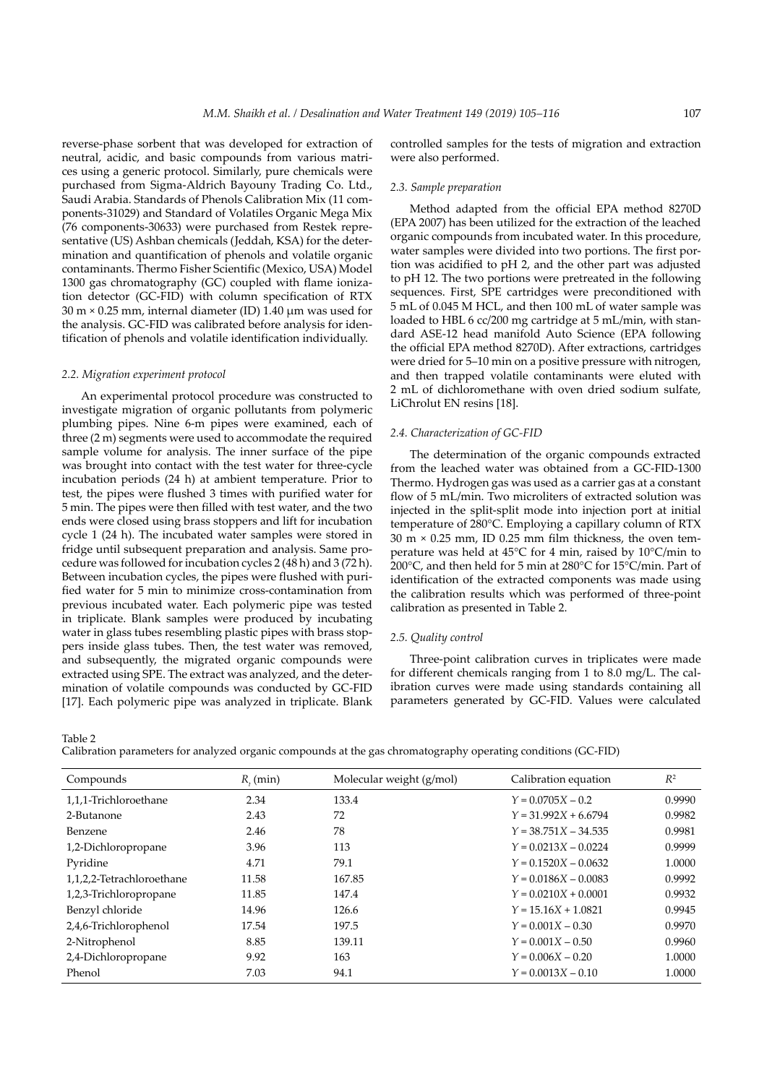reverse-phase sorbent that was developed for extraction of neutral, acidic, and basic compounds from various matrices using a generic protocol. Similarly, pure chemicals were purchased from Sigma-Aldrich Bayouny Trading Co. Ltd., Saudi Arabia. Standards of Phenols Calibration Mix (11 components-31029) and Standard of Volatiles Organic Mega Mix (76 components-30633) were purchased from Restek representative (US) Ashban chemicals (Jeddah, KSA) for the determination and quantification of phenols and volatile organic contaminants. Thermo Fisher Scientific (Mexico, USA) Model 1300 gas chromatography (GC) coupled with flame ionization detector (GC-FID) with column specification of RTX  $30 \text{ m} \times 0.25 \text{ mm}$ , internal diameter (ID) 1.40  $\mu$ m was used for the analysis. GC-FID was calibrated before analysis for identification of phenols and volatile identification individually.

#### *2.2. Migration experiment protocol*

An experimental protocol procedure was constructed to investigate migration of organic pollutants from polymeric plumbing pipes. Nine 6-m pipes were examined, each of three (2 m) segments were used to accommodate the required sample volume for analysis. The inner surface of the pipe was brought into contact with the test water for three-cycle incubation periods (24 h) at ambient temperature. Prior to test, the pipes were flushed 3 times with purified water for 5 min. The pipes were then filled with test water, and the two ends were closed using brass stoppers and lift for incubation cycle 1 (24 h). The incubated water samples were stored in fridge until subsequent preparation and analysis. Same procedure was followed for incubation cycles 2 (48 h) and 3 (72 h). Between incubation cycles, the pipes were flushed with purified water for 5 min to minimize cross-contamination from previous incubated water. Each polymeric pipe was tested in triplicate. Blank samples were produced by incubating water in glass tubes resembling plastic pipes with brass stoppers inside glass tubes. Then, the test water was removed, and subsequently, the migrated organic compounds were extracted using SPE. The extract was analyzed, and the determination of volatile compounds was conducted by GC-FID [17]. Each polymeric pipe was analyzed in triplicate. Blank controlled samples for the tests of migration and extraction were also performed.

#### *2.3. Sample preparation*

Method adapted from the official EPA method 8270D (EPA 2007) has been utilized for the extraction of the leached organic compounds from incubated water. In this procedure, water samples were divided into two portions. The first portion was acidified to pH 2, and the other part was adjusted to pH 12. The two portions were pretreated in the following sequences. First, SPE cartridges were preconditioned with 5 mL of 0.045 M HCL, and then 100 mL of water sample was loaded to HBL 6 cc/200 mg cartridge at 5 mL/min, with standard ASE-12 head manifold Auto Science (EPA following the official EPA method 8270D). After extractions, cartridges were dried for 5–10 min on a positive pressure with nitrogen, and then trapped volatile contaminants were eluted with 2 mL of dichloromethane with oven dried sodium sulfate, LiChrolut EN resins [18].

## *2.4. Characterization of GC-FID*

The determination of the organic compounds extracted from the leached water was obtained from a GC-FID-1300 Thermo. Hydrogen gas was used as a carrier gas at a constant flow of 5 mL/min. Two microliters of extracted solution was injected in the split-split mode into injection port at initial temperature of 280°C. Employing a capillary column of RTX 30 m × 0.25 mm, ID 0.25 mm film thickness, the oven temperature was held at 45°C for 4 min, raised by 10°C/min to 200°C, and then held for 5 min at 280°C for 15°C/min. Part of identification of the extracted components was made using the calibration results which was performed of three-point calibration as presented in Table 2.

#### *2.5. Quality control*

Three-point calibration curves in triplicates were made for different chemicals ranging from 1 to 8.0 mg/L. The calibration curves were made using standards containing all parameters generated by GC-FID. Values were calculated

Table 2

Calibration parameters for analyzed organic compounds at the gas chromatography operating conditions (GC-FID)

| Compounds                 | $R_{i}$ (min) | Molecular weight (g/mol) | Calibration equation   | $R^2$  |
|---------------------------|---------------|--------------------------|------------------------|--------|
| 1,1,1-Trichloroethane     | 2.34          | 133.4                    | $Y = 0.0705X - 0.2$    | 0.9990 |
| 2-Butanone                | 2.43          | 72                       | $Y = 31.992X + 6.6794$ | 0.9982 |
| Benzene                   | 2.46          | 78                       | $Y = 38.751X - 34.535$ | 0.9981 |
| 1,2-Dichloropropane       | 3.96          | 113                      | $Y = 0.0213X - 0.0224$ | 0.9999 |
| Pyridine                  | 4.71          | 79.1                     | $Y = 0.1520X - 0.0632$ | 1.0000 |
| 1,1,2,2-Tetrachloroethane | 11.58         | 167.85                   | $Y = 0.0186X - 0.0083$ | 0.9992 |
| 1,2,3-Trichloropropane    | 11.85         | 147.4                    | $Y = 0.0210X + 0.0001$ | 0.9932 |
| Benzyl chloride           | 14.96         | 126.6                    | $Y = 15.16X + 1.0821$  | 0.9945 |
| 2,4,6-Trichlorophenol     | 17.54         | 197.5                    | $Y = 0.001X - 0.30$    | 0.9970 |
| 2-Nitrophenol             | 8.85          | 139.11                   | $Y = 0.001X - 0.50$    | 0.9960 |
| 2,4-Dichloropropane       | 9.92          | 163                      | $Y = 0.006X - 0.20$    | 1.0000 |
| Phenol                    | 7.03          | 94.1                     | $Y = 0.0013X - 0.10$   | 1.0000 |
|                           |               |                          |                        |        |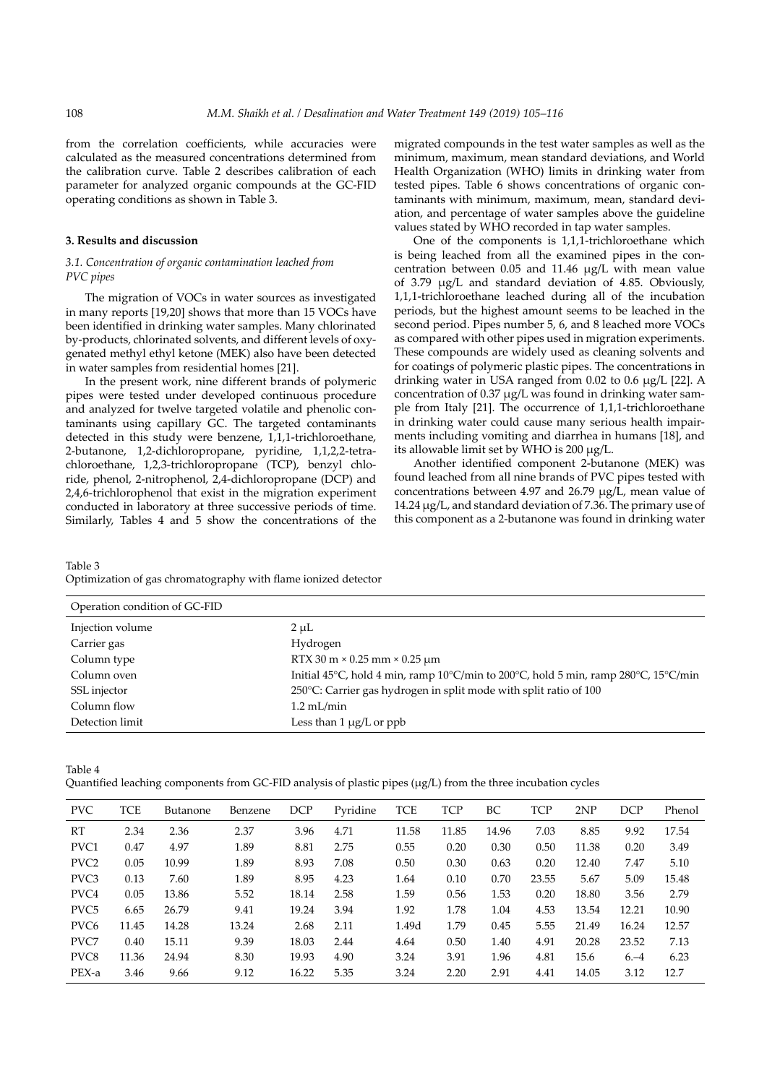from the correlation coefficients, while accuracies were calculated as the measured concentrations determined from the calibration curve. Table 2 describes calibration of each parameter for analyzed organic compounds at the GC-FID operating conditions as shown in Table 3.

### **3. Results and discussion**

## *3.1. Concentration of organic contamination leached from PVC pipes*

The migration of VOCs in water sources as investigated in many reports [19,20] shows that more than 15 VOCs have been identified in drinking water samples. Many chlorinated by-products, chlorinated solvents, and different levels of oxygenated methyl ethyl ketone (MEK) also have been detected in water samples from residential homes [21].

In the present work, nine different brands of polymeric pipes were tested under developed continuous procedure and analyzed for twelve targeted volatile and phenolic contaminants using capillary GC. The targeted contaminants detected in this study were benzene, 1,1,1-trichloroethane, 2-butanone, 1,2-dichloropropane, pyridine, 1,1,2,2-tetrachloroethane, 1,2,3-trichloropropane (TCP), benzyl chloride, phenol, 2-nitrophenol, 2,4-dichloropropane (DCP) and 2,4,6-trichlorophenol that exist in the migration experiment conducted in laboratory at three successive periods of time. Similarly, Tables 4 and 5 show the concentrations of the

migrated compounds in the test water samples as well as the minimum, maximum, mean standard deviations, and World Health Organization (WHO) limits in drinking water from tested pipes. Table 6 shows concentrations of organic contaminants with minimum, maximum, mean, standard deviation, and percentage of water samples above the guideline values stated by WHO recorded in tap water samples.

One of the components is 1,1,1-trichloroethane which is being leached from all the examined pipes in the concentration between 0.05 and 11.46 µg/L with mean value of 3.79 µg/L and standard deviation of 4.85. Obviously, 1,1,1-trichloroethane leached during all of the incubation periods, but the highest amount seems to be leached in the second period. Pipes number 5, 6, and 8 leached more VOCs as compared with other pipes used in migration experiments. These compounds are widely used as cleaning solvents and for coatings of polymeric plastic pipes. The concentrations in drinking water in USA ranged from 0.02 to 0.6 µg/L [22]. A concentration of  $0.37 \mu g/L$  was found in drinking water sample from Italy [21]. The occurrence of 1,1,1-trichloroethane in drinking water could cause many serious health impairments including vomiting and diarrhea in humans [18], and its allowable limit set by WHO is 200 µg/L.

Another identified component 2-butanone (MEK) was found leached from all nine brands of PVC pipes tested with concentrations between 4.97 and 26.79 µg/L, mean value of 14.24 µg/L, and standard deviation of 7.36. The primary use of this component as a 2-butanone was found in drinking water

Table 3 Optimization of gas chromatography with flame ionized detector

| Operation condition of GC-FID |                                                                                    |
|-------------------------------|------------------------------------------------------------------------------------|
| Injection volume              | $2 \mu L$                                                                          |
| Carrier gas                   | Hydrogen                                                                           |
| Column type                   | RTX 30 m $\times$ 0.25 mm $\times$ 0.25 µm                                         |
| Column oven                   | Initial 45°C, hold 4 min, ramp 10°C/min to 200°C, hold 5 min, ramp 280°C, 15°C/min |
| SSL injector                  | 250 $^{\circ}$ C: Carrier gas hydrogen in split mode with split ratio of 100       |
| Column flow                   | $1.2$ mL/min                                                                       |
| Detection limit               | Less than $1 \mu g/L$ or ppb                                                       |

| Quantified leaching components from GC-FID analysis of plastic pipes (µg/L) from the three incubation cycles |  |  |  |  |  |  |  |  |  |  |  |
|--------------------------------------------------------------------------------------------------------------|--|--|--|--|--|--|--|--|--|--|--|
|--------------------------------------------------------------------------------------------------------------|--|--|--|--|--|--|--|--|--|--|--|

| <b>PVC</b>       | <b>TCE</b> | Butanone | Benzene | <b>DCP</b> | Pyridine | <b>TCE</b> | <b>TCP</b> | BC    | <b>TCP</b> | 2NP   | <b>DCP</b> | Phenol |
|------------------|------------|----------|---------|------------|----------|------------|------------|-------|------------|-------|------------|--------|
| RT               | 2.34       | 2.36     | 2.37    | 3.96       | 4.71     | 11.58      | 11.85      | 14.96 | 7.03       | 8.85  | 9.92       | 17.54  |
| PVC1             | 0.47       | 4.97     | 1.89    | 8.81       | 2.75     | 0.55       | 0.20       | 0.30  | 0.50       | 11.38 | 0.20       | 3.49   |
| PVC <sub>2</sub> | 0.05       | 10.99    | 1.89    | 8.93       | 7.08     | 0.50       | 0.30       | 0.63  | 0.20       | 12.40 | 7.47       | 5.10   |
| PVC3             | 0.13       | 7.60     | 1.89    | 8.95       | 4.23     | 1.64       | 0.10       | 0.70  | 23.55      | 5.67  | 5.09       | 15.48  |
| PVC <sub>4</sub> | 0.05       | 13.86    | 5.52    | 18.14      | 2.58     | 1.59       | 0.56       | 1.53  | 0.20       | 18.80 | 3.56       | 2.79   |
| PVC <sub>5</sub> | 6.65       | 26.79    | 9.41    | 19.24      | 3.94     | 1.92       | 1.78       | 1.04  | 4.53       | 13.54 | 12.21      | 10.90  |
| PVC <sub>6</sub> | 11.45      | 14.28    | 13.24   | 2.68       | 2.11     | 1.49d      | 1.79       | 0.45  | 5.55       | 21.49 | 16.24      | 12.57  |
| PVC7             | 0.40       | 15.11    | 9.39    | 18.03      | 2.44     | 4.64       | 0.50       | 1.40  | 4.91       | 20.28 | 23.52      | 7.13   |
| PVC8             | 11.36      | 24.94    | 8.30    | 19.93      | 4.90     | 3.24       | 3.91       | 1.96  | 4.81       | 15.6  | $6 - 4$    | 6.23   |
| PEX-a            | 3.46       | 9.66     | 9.12    | 16.22      | 5.35     | 3.24       | 2.20       | 2.91  | 4.41       | 14.05 | 3.12       | 12.7   |

Table 4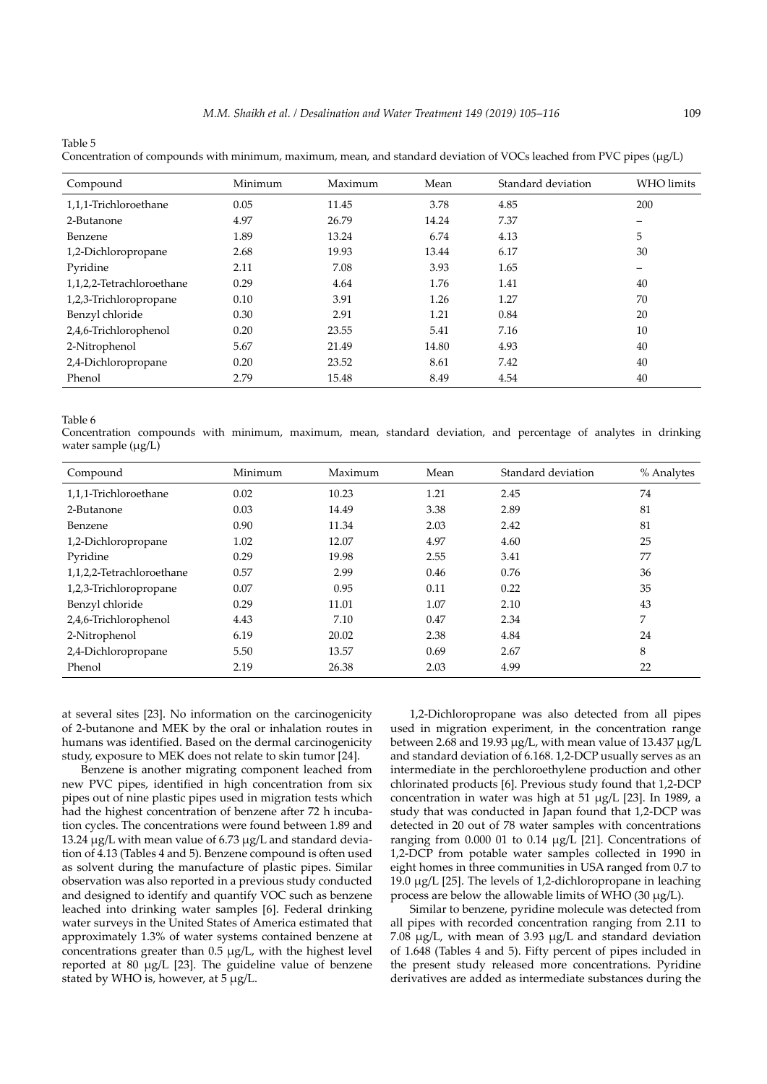Table 5

Concentration of compounds with minimum, maximum, mean, and standard deviation of VOCs leached from PVC pipes (µg/L)

| Compound                  | Minimum | Maximum | Mean  | Standard deviation | <b>WHO</b> limits        |
|---------------------------|---------|---------|-------|--------------------|--------------------------|
| 1,1,1-Trichloroethane     | 0.05    | 11.45   | 3.78  | 4.85               | 200                      |
| 2-Butanone                | 4.97    | 26.79   | 14.24 | 7.37               | $\overline{\phantom{m}}$ |
| Benzene                   | 1.89    | 13.24   | 6.74  | 4.13               | 5                        |
| 1,2-Dichloropropane       | 2.68    | 19.93   | 13.44 | 6.17               | 30                       |
| Pyridine                  | 2.11    | 7.08    | 3.93  | 1.65               | $\overline{\phantom{m}}$ |
| 1,1,2,2-Tetrachloroethane | 0.29    | 4.64    | 1.76  | 1.41               | 40                       |
| 1,2,3-Trichloropropane    | 0.10    | 3.91    | 1.26  | 1.27               | 70                       |
| Benzyl chloride           | 0.30    | 2.91    | 1.21  | 0.84               | 20                       |
| 2,4,6-Trichlorophenol     | 0.20    | 23.55   | 5.41  | 7.16               | 10                       |
| 2-Nitrophenol             | 5.67    | 21.49   | 14.80 | 4.93               | 40                       |
| 2,4-Dichloropropane       | 0.20    | 23.52   | 8.61  | 7.42               | 40                       |
| Phenol                    | 2.79    | 15.48   | 8.49  | 4.54               | 40                       |

Table 6

Concentration compounds with minimum, maximum, mean, standard deviation, and percentage of analytes in drinking water sample  $(\mu g/L)$ 

| Compound                  | Minimum | Maximum | Mean | Standard deviation | % Analytes |
|---------------------------|---------|---------|------|--------------------|------------|
| 1,1,1-Trichloroethane     | 0.02    | 10.23   | 1.21 | 2.45               | 74         |
| 2-Butanone                | 0.03    | 14.49   | 3.38 | 2.89               | 81         |
| Benzene                   | 0.90    | 11.34   | 2.03 | 2.42               | 81         |
| 1,2-Dichloropropane       | 1.02    | 12.07   | 4.97 | 4.60               | 25         |
| Pyridine                  | 0.29    | 19.98   | 2.55 | 3.41               | 77         |
| 1,1,2,2-Tetrachloroethane | 0.57    | 2.99    | 0.46 | 0.76               | 36         |
| 1,2,3-Trichloropropane    | 0.07    | 0.95    | 0.11 | 0.22               | 35         |
| Benzyl chloride           | 0.29    | 11.01   | 1.07 | 2.10               | 43         |
| 2,4,6-Trichlorophenol     | 4.43    | 7.10    | 0.47 | 2.34               | 7          |
| 2-Nitrophenol             | 6.19    | 20.02   | 2.38 | 4.84               | 24         |
| 2,4-Dichloropropane       | 5.50    | 13.57   | 0.69 | 2.67               | 8          |
| Phenol                    | 2.19    | 26.38   | 2.03 | 4.99               | 22         |

at several sites [23]. No information on the carcinogenicity of 2-butanone and MEK by the oral or inhalation routes in humans was identified. Based on the dermal carcinogenicity study, exposure to MEK does not relate to skin tumor [24].

Benzene is another migrating component leached from new PVC pipes, identified in high concentration from six pipes out of nine plastic pipes used in migration tests which had the highest concentration of benzene after 72 h incubation cycles. The concentrations were found between 1.89 and 13.24 µg/L with mean value of 6.73 µg/L and standard deviation of 4.13 (Tables 4 and 5). Benzene compound is often used as solvent during the manufacture of plastic pipes. Similar observation was also reported in a previous study conducted and designed to identify and quantify VOC such as benzene leached into drinking water samples [6]. Federal drinking water surveys in the United States of America estimated that approximately 1.3% of water systems contained benzene at concentrations greater than 0.5 µg/L, with the highest level reported at 80 µg/L [23]. The guideline value of benzene stated by WHO is, however, at 5 µg/L.

1,2-Dichloropropane was also detected from all pipes used in migration experiment, in the concentration range between 2.68 and 19.93  $\mu$ g/L, with mean value of 13.437  $\mu$ g/L and standard deviation of 6.168. 1,2-DCP usually serves as an intermediate in the perchloroethylene production and other chlorinated products [6]. Previous study found that 1,2-DCP concentration in water was high at 51 µg/L [23]. In 1989, a study that was conducted in Japan found that 1,2-DCP was detected in 20 out of 78 water samples with concentrations ranging from 0.000 01 to 0.14 µg/L [21]. Concentrations of 1,2-DCP from potable water samples collected in 1990 in eight homes in three communities in USA ranged from 0.7 to 19.0 µg/L [25]. The levels of 1,2-dichloropropane in leaching process are below the allowable limits of WHO (30 µg/L).

Similar to benzene, pyridine molecule was detected from all pipes with recorded concentration ranging from 2.11 to 7.08 µg/L, with mean of 3.93 µg/L and standard deviation of 1.648 (Tables 4 and 5). Fifty percent of pipes included in the present study released more concentrations. Pyridine derivatives are added as intermediate substances during the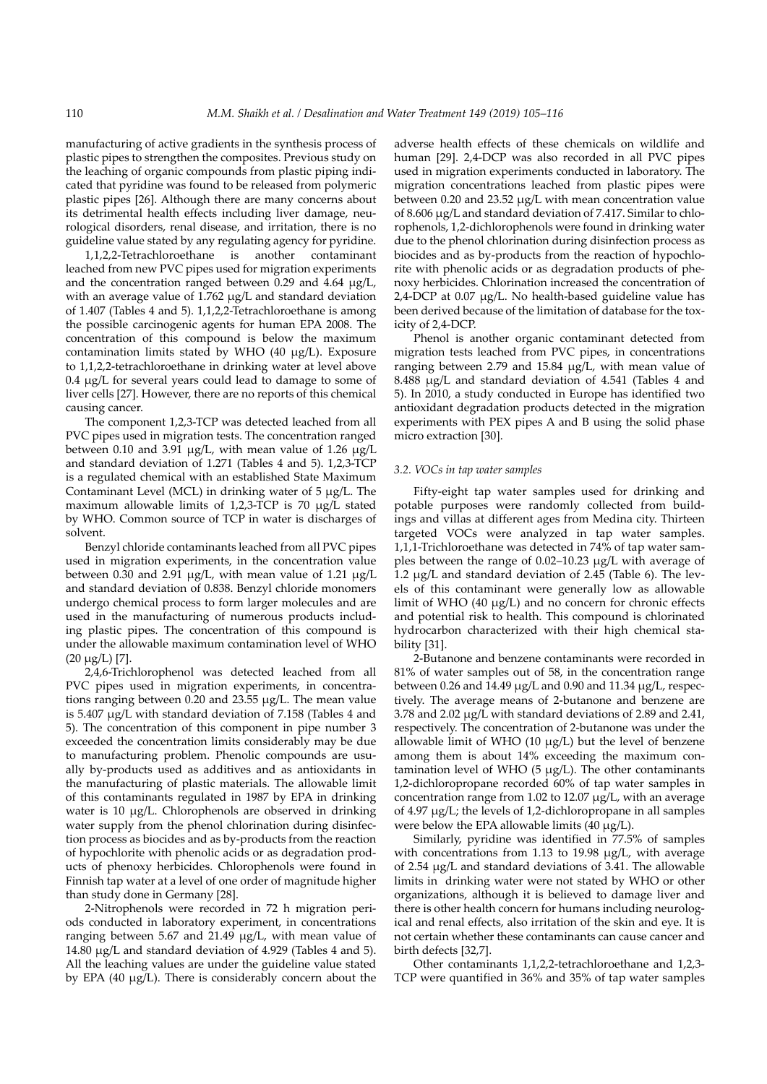manufacturing of active gradients in the synthesis process of plastic pipes to strengthen the composites. Previous study on the leaching of organic compounds from plastic piping indicated that pyridine was found to be released from polymeric plastic pipes [26]. Although there are many concerns about its detrimental health effects including liver damage, neurological disorders, renal disease, and irritation, there is no guideline value stated by any regulating agency for pyridine.

1,1,2,2-Tetrachloroethane is another contaminant leached from new PVC pipes used for migration experiments and the concentration ranged between  $0.29$  and  $4.64 \mu g/L$ , with an average value of 1.762 µg/L and standard deviation of 1.407 (Tables 4 and 5). 1,1,2,2-Tetrachloroethane is among the possible carcinogenic agents for human EPA 2008. The concentration of this compound is below the maximum contamination limits stated by WHO (40 µg/L). Exposure to 1,1,2,2-tetrachloroethane in drinking water at level above 0.4 µg/L for several years could lead to damage to some of liver cells [27]. However, there are no reports of this chemical causing cancer.

The component 1,2,3-TCP was detected leached from all PVC pipes used in migration tests. The concentration ranged between 0.10 and 3.91  $\mu$ g/L, with mean value of 1.26  $\mu$ g/L and standard deviation of 1.271 (Tables 4 and 5). 1,2,3-TCP is a regulated chemical with an established State Maximum Contaminant Level (MCL) in drinking water of 5 µg/L. The maximum allowable limits of 1,2,3-TCP is 70 µg/L stated by WHO. Common source of TCP in water is discharges of solvent.

Benzyl chloride contaminants leached from all PVC pipes used in migration experiments, in the concentration value between 0.30 and 2.91  $\mu$ g/L, with mean value of 1.21  $\mu$ g/L and standard deviation of 0.838. Benzyl chloride monomers undergo chemical process to form larger molecules and are used in the manufacturing of numerous products including plastic pipes. The concentration of this compound is under the allowable maximum contamination level of WHO (20 µg/L) [7].

2,4,6-Trichlorophenol was detected leached from all PVC pipes used in migration experiments, in concentrations ranging between 0.20 and 23.55 µg/L. The mean value is 5.407 µg/L with standard deviation of 7.158 (Tables 4 and 5). The concentration of this component in pipe number 3 exceeded the concentration limits considerably may be due to manufacturing problem. Phenolic compounds are usually by-products used as additives and as antioxidants in the manufacturing of plastic materials. The allowable limit of this contaminants regulated in 1987 by EPA in drinking water is 10  $\mu$ g/L. Chlorophenols are observed in drinking water supply from the phenol chlorination during disinfection process as biocides and as by-products from the reaction of hypochlorite with phenolic acids or as degradation products of phenoxy herbicides. Chlorophenols were found in Finnish tap water at a level of one order of magnitude higher than study done in Germany [28].

2-Nitrophenols were recorded in 72 h migration periods conducted in laboratory experiment, in concentrations ranging between 5.67 and 21.49 µg/L, with mean value of 14.80 µg/L and standard deviation of 4.929 (Tables 4 and 5). All the leaching values are under the guideline value stated by EPA (40 µg/L). There is considerably concern about the adverse health effects of these chemicals on wildlife and human [29]. 2,4-DCP was also recorded in all PVC pipes used in migration experiments conducted in laboratory. The migration concentrations leached from plastic pipes were between 0.20 and 23.52 µg/L with mean concentration value of 8.606 µg/L and standard deviation of 7.417. Similar to chlorophenols, 1,2-dichlorophenols were found in drinking water due to the phenol chlorination during disinfection process as biocides and as by-products from the reaction of hypochlorite with phenolic acids or as degradation products of phenoxy herbicides. Chlorination increased the concentration of 2,4-DCP at 0.07 µg/L. No health-based guideline value has been derived because of the limitation of database for the toxicity of 2,4-DCP.

Phenol is another organic contaminant detected from migration tests leached from PVC pipes, in concentrations ranging between 2.79 and 15.84 µg/L, with mean value of 8.488 µg/L and standard deviation of 4.541 (Tables 4 and 5). In 2010, a study conducted in Europe has identified two antioxidant degradation products detected in the migration experiments with PEX pipes A and B using the solid phase micro extraction [30].

## *3.2. VOCs in tap water samples*

Fifty-eight tap water samples used for drinking and potable purposes were randomly collected from buildings and villas at different ages from Medina city. Thirteen targeted VOCs were analyzed in tap water samples. 1,1,1-Trichloroethane was detected in 74% of tap water samples between the range of 0.02–10.23 µg/L with average of 1.2 µg/L and standard deviation of 2.45 (Table 6). The levels of this contaminant were generally low as allowable limit of WHO (40 µg/L) and no concern for chronic effects and potential risk to health. This compound is chlorinated hydrocarbon characterized with their high chemical stability [31].

2-Butanone and benzene contaminants were recorded in 81% of water samples out of 58, in the concentration range between 0.26 and 14.49 µg/L and 0.90 and 11.34 µg/L, respectively. The average means of 2-butanone and benzene are 3.78 and 2.02 µg/L with standard deviations of 2.89 and 2.41, respectively. The concentration of 2-butanone was under the allowable limit of WHO (10 µg/L) but the level of benzene among them is about 14% exceeding the maximum contamination level of WHO (5 µg/L). The other contaminants 1,2-dichloropropane recorded 60% of tap water samples in concentration range from 1.02 to 12.07 µg/L, with an average of 4.97 µg/L; the levels of 1,2-dichloropropane in all samples were below the EPA allowable limits  $(40 \mu g/L)$ .

Similarly, pyridine was identified in 77.5% of samples with concentrations from 1.13 to 19.98 µg/L, with average of 2.54 µg/L and standard deviations of 3.41. The allowable limits in drinking water were not stated by WHO or other organizations, although it is believed to damage liver and there is other health concern for humans including neurological and renal effects, also irritation of the skin and eye. It is not certain whether these contaminants can cause cancer and birth defects [32,7].

Other contaminants 1,1,2,2-tetrachloroethane and 1,2,3- TCP were quantified in 36% and 35% of tap water samples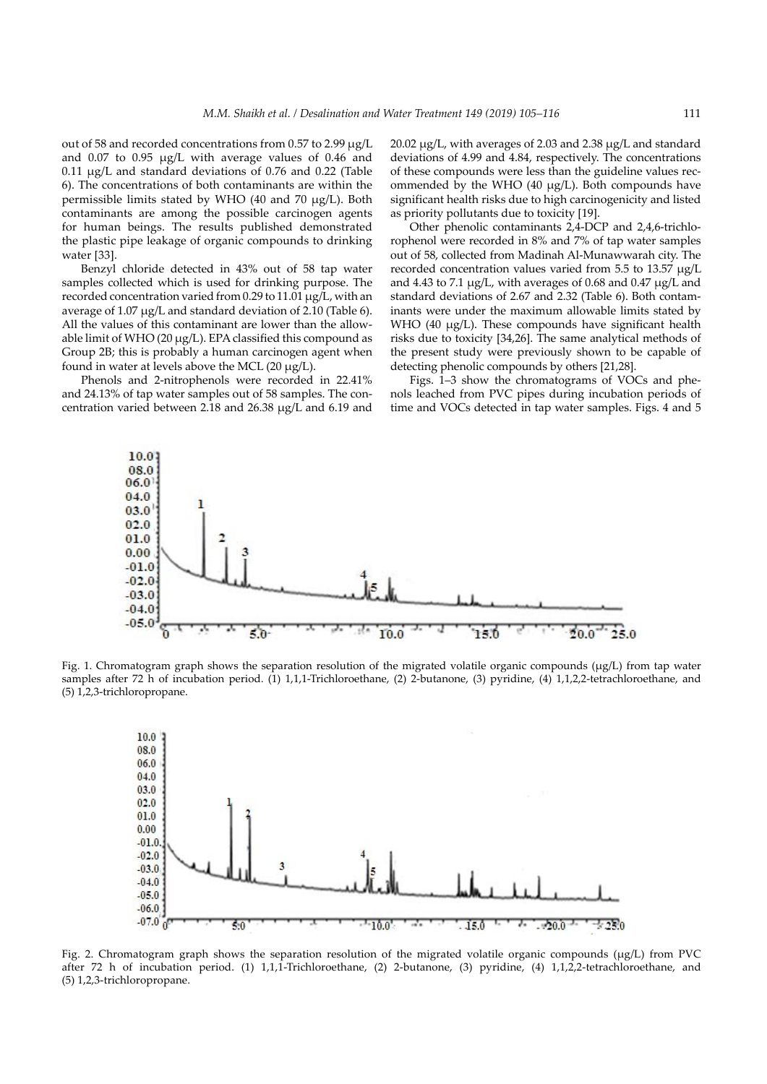out of 58 and recorded concentrations from 0.57 to 2.99 µg/L and 0.07 to 0.95 µg/L with average values of 0.46 and 0.11 µg/L and standard deviations of 0.76 and 0.22 (Table 6). The concentrations of both contaminants are within the permissible limits stated by WHO (40 and 70 µg/L). Both contaminants are among the possible carcinogen agents for human beings. The results published demonstrated the plastic pipe leakage of organic compounds to drinking water [33].

Benzyl chloride detected in 43% out of 58 tap water samples collected which is used for drinking purpose. The recorded concentration varied from 0.29 to 11.01 µg/L, with an average of 1.07 µg/L and standard deviation of 2.10 (Table 6). All the values of this contaminant are lower than the allowable limit of WHO (20 µg/L). EPA classified this compound as Group 2B; this is probably a human carcinogen agent when found in water at levels above the MCL (20 µg/L).

Phenols and 2-nitrophenols were recorded in 22.41% and 24.13% of tap water samples out of 58 samples. The concentration varied between 2.18 and 26.38 µg/L and 6.19 and

20.02 µg/L, with averages of 2.03 and 2.38 µg/L and standard deviations of 4.99 and 4.84, respectively. The concentrations of these compounds were less than the guideline values recommended by the WHO (40 µg/L). Both compounds have significant health risks due to high carcinogenicity and listed as priority pollutants due to toxicity [19].

Other phenolic contaminants 2,4-DCP and 2,4,6-trichlorophenol were recorded in 8% and 7% of tap water samples out of 58, collected from Madinah Al-Munawwarah city. The recorded concentration values varied from 5.5 to 13.57 µg/L and 4.43 to 7.1 µg/L, with averages of 0.68 and 0.47 µg/L and standard deviations of 2.67 and 2.32 (Table 6). Both contaminants were under the maximum allowable limits stated by WHO (40 µg/L). These compounds have significant health risks due to toxicity [34,26]. The same analytical methods of the present study were previously shown to be capable of detecting phenolic compounds by others [21,28].

Figs. 1–3 show the chromatograms of VOCs and phenols leached from PVC pipes during incubation periods of time and VOCs detected in tap water samples. Figs. 4 and 5



Fig. 1. Chromatogram graph shows the separation resolution of the migrated volatile organic compounds (µg/L) from tap water samples after 72 h of incubation period. (1) 1,1,1-Trichloroethane, (2) 2-butanone, (3) pyridine, (4) 1,1,2,2-tetrachloroethane, and (5) 1,2,3-trichloropropane.



Fig. 2. Chromatogram graph shows the separation resolution of the migrated volatile organic compounds (µg/L) from PVC after 72 h of incubation period. (1) 1,1,1-Trichloroethane, (2) 2-butanone, (3) pyridine, (4) 1,1,2,2-tetrachloroethane, and (5) 1,2,3-trichloropropane.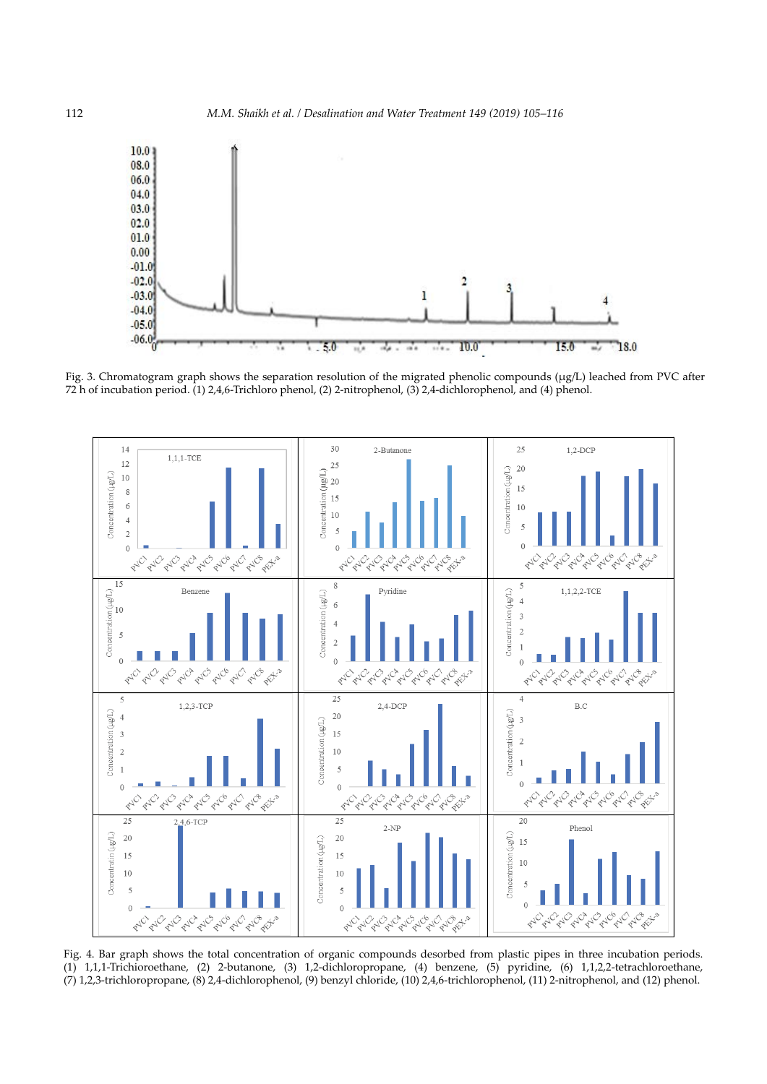

Fig. 3. Chromatogram graph shows the separation resolution of the migrated phenolic compounds (µg/L) leached from PVC after 72 h of incubation period. (1) 2,4,6-Trichloro phenol, (2) 2-nitrophenol, (3) 2,4-dichlorophenol, and (4) phenol.



Fig. 4. Bar graph shows the total concentration of organic compounds desorbed from plastic pipes in three incubation periods. (1) 1,1,1-Trichioroethane, (2) 2-butanone, (3) 1,2-dichloropropane, (4) benzene, (5) pyridine, (6) 1,1,2,2-tetrachloroethane, (7) 1,2,3-trichloropropane, (8) 2,4-dichlorophenol, (9) benzyl chloride, (10) 2,4,6-trichlorophenol, (11) 2-nitrophenol, and (12) phenol.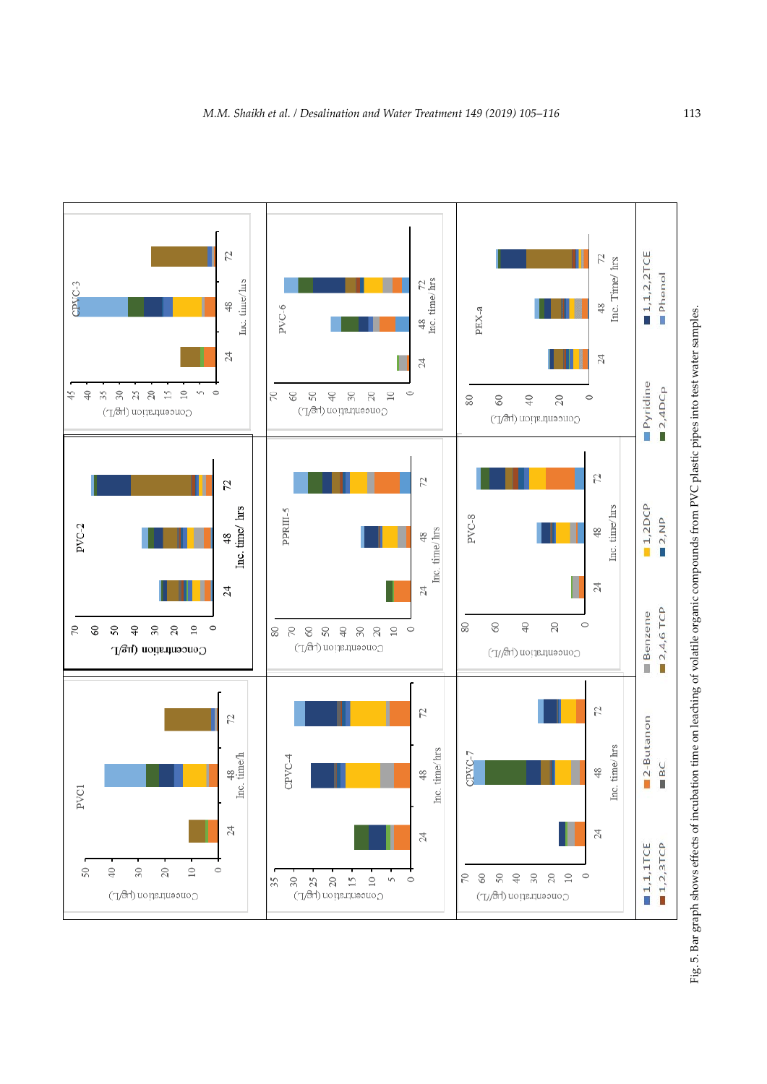

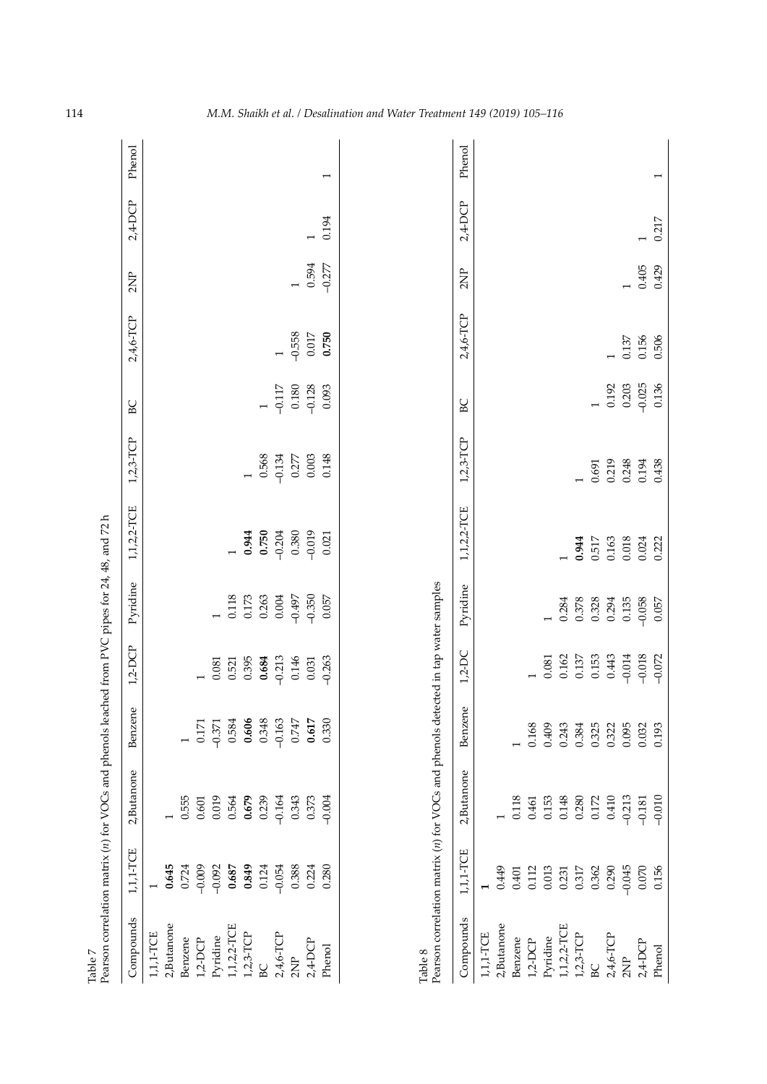| Table 7           |                                                        | Pearson correlation matrix (n) for VOCs and phenols leached from PVC pipes for 24, 48, and 72 h |                                          |                      |                                                                 |                                |                    |                     |                    |                |            |                |
|-------------------|--------------------------------------------------------|-------------------------------------------------------------------------------------------------|------------------------------------------|----------------------|-----------------------------------------------------------------|--------------------------------|--------------------|---------------------|--------------------|----------------|------------|----------------|
| Compounds         | 1,1,1-TCE                                              | 2, Butanone                                                                                     | $\mathbb U$<br>Benzen                    | $1,2-DCP$            | Pyridine                                                        | 1, 1, 2, 2-TCE                 | $1,2,3-TCP$        | BC                  | 2,4,6-TCP          | 2NP            | $2,4$ -DCP | Phenol         |
| 1,1,1-TCE         |                                                        |                                                                                                 |                                          |                      |                                                                 |                                |                    |                     |                    |                |            |                |
| 2,Butanone        | 0.645                                                  |                                                                                                 |                                          |                      |                                                                 |                                |                    |                     |                    |                |            |                |
| Benzene           | 0.724                                                  | 0.555                                                                                           |                                          |                      |                                                                 |                                |                    |                     |                    |                |            |                |
| $1,2$ -DCP        | $-0.009$                                               | $0.601\,$                                                                                       | 0.171                                    |                      |                                                                 |                                |                    |                     |                    |                |            |                |
| Pyridine          | $-0.092$                                               | 0.019                                                                                           | $-0.371$                                 | 0.081                |                                                                 |                                |                    |                     |                    |                |            |                |
| 1, 1, 2, 2-TCE    | 0.687                                                  | 0.564                                                                                           | 0.584                                    | 0.521                | 0.118                                                           |                                |                    |                     |                    |                |            |                |
| $1,2,3$ -TCP      | 0.849                                                  | 0.679                                                                                           | 0.606                                    | 0.395                | 0.173                                                           | 0.944                          |                    |                     |                    |                |            |                |
| BC                | 0.124                                                  | 0.239                                                                                           | 0.348                                    | 0.684                | 0.263                                                           | 0.750                          | 0.568              |                     |                    |                |            |                |
| 2,4,6-TCP         | $-0.054$                                               | $-0.164$                                                                                        | $-0.163$                                 | $-0.213$             | 0.004                                                           | $-0.204$                       | $-0.134$           | $-0.117$            |                    |                |            |                |
| 2NP               | 0.388                                                  | 0.343                                                                                           | $0.747\,$                                | 0.146                | $-0.497$                                                        | 0.380                          | 0.277              | $0.180\,$           | $-0.558$           | $\overline{a}$ |            |                |
| 2,4-DCP           | 0.224                                                  | 0.373                                                                                           | 0.617                                    | 0.031                | $-0.350$                                                        | $-0.019$                       | 0.003              | $-0.128$            | $0.017\,$          | 0.594          |            |                |
| Phenol            | 0.280                                                  | $-0.004$                                                                                        | 0.330                                    | $-0.263$             | 0.057                                                           | 0.021                          | 0.148              | 0.093               | 0.750              | $-0.277$       | 0.194      | $\overline{ }$ |
| Table 8           |                                                        | Pearson correlation matrix (n) for VOCs and phenols detected in tap water samples               |                                          |                      |                                                                 |                                |                    |                     |                    |                |            |                |
|                   |                                                        |                                                                                                 |                                          |                      |                                                                 |                                |                    |                     |                    |                |            |                |
| Compounds         | 1,1,1-TCE                                              | 2, Butanone                                                                                     | $\overline{\mathsf{C}}$<br><b>Benzen</b> | $1,2-DC$             | Pyridine                                                        | 1, 1, 2, 2-TCE                 | $1,2,3-TCP$        | BC                  | 2,4,6-TCP          | 2NP            | $2,4$ -DCP | Phenol         |
| 1,1,1-TCE         |                                                        |                                                                                                 |                                          |                      |                                                                 |                                |                    |                     |                    |                |            |                |
| 2,Butanone        | 0.449                                                  |                                                                                                 |                                          |                      |                                                                 |                                |                    |                     |                    |                |            |                |
| Benzene           | $0.401\,$                                              |                                                                                                 |                                          |                      |                                                                 |                                |                    |                     |                    |                |            |                |
| $1,2\hbox{-DCP}$  |                                                        |                                                                                                 | 0.168                                    |                      |                                                                 |                                |                    |                     |                    |                |            |                |
| Pyridine          | $\begin{array}{c} 0.112 \\ 0.013 \\ 0.231 \end{array}$ | $\begin{array}{c} 0.118 \\ 0.461 \\ 0.153 \\ 0.148 \\ 0.280 \\ 0.172 \end{array}$               | 0.409                                    | $\!0.081$            |                                                                 |                                |                    |                     |                    |                |            |                |
| $1, 1, 2, 2$ -TCE |                                                        |                                                                                                 | 0.243                                    | 0.162                |                                                                 |                                |                    |                     |                    |                |            |                |
| $1,2,3$ TCP       | 0.317                                                  |                                                                                                 | 0.384                                    | 0.137                | $\begin{array}{c} 0.284 \\ 0.378 \\ 0.328 \\ 0.294 \end{array}$ |                                |                    |                     |                    |                |            |                |
| BC                | 0.362                                                  |                                                                                                 | 0.325                                    | 0.153                |                                                                 | <b>0.944</b><br>0.517<br>0.163 | $0.691$<br>$0.219$ |                     |                    |                |            |                |
| 2,4,6-TCP         | 0.290                                                  | 0.410                                                                                           | 0.322                                    | 0.443                |                                                                 |                                |                    | 0.192               |                    |                |            |                |
| $2\mathrm{NP}$    | $-0.045$                                               | $-0.213$<br>$-0.181$                                                                            | 0.095                                    | $-0.014$             | 0.135                                                           | $0.018$<br>$0.024$<br>$0.222$  | 0.248              | $0.203$<br>$-0.025$ | 0.137              |                |            |                |
| 2,4-DCP           | 0.070<br>0.156                                         |                                                                                                 | 0.032                                    | $-0.018$<br>$-0.072$ | $-0.058$                                                        |                                | 0.194              |                     | $0.156$<br>$0.506$ | 0.405          |            |                |
| Phenol            |                                                        | $-0.010$                                                                                        | 0.193                                    |                      | 0.057                                                           |                                | 0.438              | 0.136               |                    | 0.429          | 0.217      |                |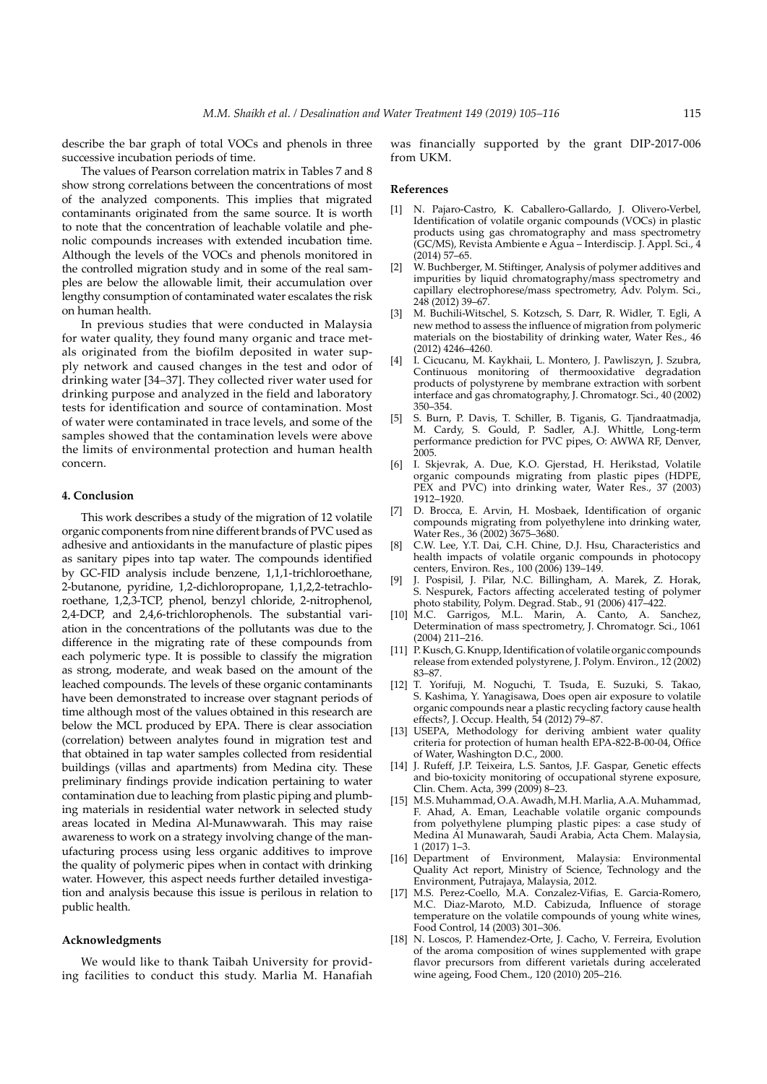describe the bar graph of total VOCs and phenols in three successive incubation periods of time.

The values of Pearson correlation matrix in Tables 7 and 8 show strong correlations between the concentrations of most of the analyzed components. This implies that migrated contaminants originated from the same source. It is worth to note that the concentration of leachable volatile and phenolic compounds increases with extended incubation time. Although the levels of the VOCs and phenols monitored in the controlled migration study and in some of the real samples are below the allowable limit, their accumulation over lengthy consumption of contaminated water escalates the risk on human health.

In previous studies that were conducted in Malaysia for water quality, they found many organic and trace metals originated from the biofilm deposited in water supply network and caused changes in the test and odor of drinking water [34–37]. They collected river water used for drinking purpose and analyzed in the field and laboratory tests for identification and source of contamination. Most of water were contaminated in trace levels, and some of the samples showed that the contamination levels were above the limits of environmental protection and human health concern.

### **4. Conclusion**

This work describes a study of the migration of 12 volatile organic components from nine different brands of PVC used as adhesive and antioxidants in the manufacture of plastic pipes as sanitary pipes into tap water. The compounds identified by GC-FID analysis include benzene, 1,1,1-trichloroethane, 2-butanone, pyridine, 1,2-dichloropropane, 1,1,2,2-tetrachloroethane, 1,2,3-TCP, phenol, benzyl chloride, 2-nitrophenol, 2,4-DCP, and 2,4,6-trichlorophenols. The substantial variation in the concentrations of the pollutants was due to the difference in the migrating rate of these compounds from each polymeric type. It is possible to classify the migration as strong, moderate, and weak based on the amount of the leached compounds. The levels of these organic contaminants have been demonstrated to increase over stagnant periods of time although most of the values obtained in this research are below the MCL produced by EPA. There is clear association (correlation) between analytes found in migration test and that obtained in tap water samples collected from residential buildings (villas and apartments) from Medina city. These preliminary findings provide indication pertaining to water contamination due to leaching from plastic piping and plumbing materials in residential water network in selected study areas located in Medina Al-Munawwarah. This may raise awareness to work on a strategy involving change of the manufacturing process using less organic additives to improve the quality of polymeric pipes when in contact with drinking water. However, this aspect needs further detailed investigation and analysis because this issue is perilous in relation to public health.

## **Acknowledgments**

We would like to thank Taibah University for providing facilities to conduct this study. Marlia M. Hanafiah was financially supported by the grant DIP-2017-006 from UKM.

#### **References**

- [1] N. Pajaro-Castro, K. Caballero-Gallardo, J. Olivero-Verbel, Identification of volatile organic compounds (VOCs) in plastic products using gas chromatography and mass spectrometry (GC/MS), Revista Ambiente e Agua – Interdiscip. J. Appl. Sci., 4 (2014) 57–65.
- [2] W. Buchberger, M. Stiftinger, Analysis of polymer additives and impurities by liquid chromatography/mass spectrometry and capillary electrophorese/mass spectrometry, Adv. Polym. Sci., 248 (2012) 39–67.
- M. Buchili-Witschel, S. Kotzsch, S. Darr, R. Widler, T. Egli, A new method to assess the influence of migration from polymeric materials on the biostability of drinking water, Water Res., 46 (2012) 4246–4260.
- I. Cicucanu, M. Kaykhaii, L. Montero, J. Pawliszyn, J. Szubra, Continuous monitoring of thermooxidative degradation products of polystyrene by membrane extraction with sorbent interface and gas chromatography, J. Chromatogr. Sci., 40 (2002) 350–354.
- [5] S. Burn, P. Davis, T. Schiller, B. Tiganis, G. Tjandraatmadja, M. Cardy, S. Gould, P. Sadler, A.J. Whittle, Long-term performance prediction for PVC pipes, O: AWWA RF, Denver, 2005.
- [6] I. Skjevrak, A. Due, K.O. Gjerstad, H. Herikstad, Volatile organic compounds migrating from plastic pipes (HDPE, PEX and PVC) into drinking water, Water Res., 37 (2003) 1912–1920.
- [7] D. Brocca, E. Arvin, H. Mosbaek, Identification of organic compounds migrating from polyethylene into drinking water, Water Res., 36 (2002) 3675–3680.
- [8] C.W. Lee, Y.T. Dai, C.H. Chine, D.J. Hsu, Characteristics and health impacts of volatile organic compounds in photocopy centers, Environ. Res., 100 (2006) 139–149.
- J. Pospisil, J. Pilar, N.C. Billingham, A. Marek, Z. Horak, S. Nespurek, Factors affecting accelerated testing of polymer photo stability, Polym. Degrad. Stab., 91 (2006) 417–422.
- [10] M.C. Garrigos, M.L. Marin, A. Canto, A. Sanchez, Determination of mass spectrometry, J. Chromatogr. Sci., 1061 (2004) 211–216.
- [11] P. Kusch, G. Knupp, Identification of volatile organic compounds release from extended polystyrene, J. Polym. Environ., 12 (2002) 83–87.
- [12] T. Yorifuji, M. Noguchi, T. Tsuda, E. Suzuki, S. Takao, S. Kashima, Y. Yanagisawa, Does open air exposure to volatile organic compounds near a plastic recycling factory cause health effects?, J. Occup. Health, 54 (2012) 79–87.
- [13] USEPA, Methodology for deriving ambient water quality criteria for protection of human health EPA-822-B-00-04, Office of Water, Washington D.C., 2000.
- [14] J. Rufeff, J.P. Teixeira, L.S. Santos, J.F. Gaspar, Genetic effects and bio-toxicity monitoring of occupational styrene exposure, Clin. Chem. Acta, 399 (2009) 8–23.
- [15] M.S. Muhammad, O.A. Awadh, M.H. Marlia, A.A. Muhammad, F. Ahad, A. Eman, Leachable volatile organic compounds from polyethylene plumping plastic pipes: a case study of Medina Al Munawarah, Saudi Arabia, Acta Chem. Malaysia, 1 (2017) 1–3.
- [16] Department of Environment, Malaysia: Environmental Quality Act report, Ministry of Science, Technology and the Environment, Putrajaya, Malaysia, 2012.
- [17] M.S. Perez-Coello, M.A. Conzalez-Vifias, E. Garcia-Romero, M.C. Diaz-Maroto, M.D. Cabizuda, Influence of storage temperature on the volatile compounds of young white wines, Food Control, 14 (2003) 301–306.
- [18] N. Loscos, P. Hamendez-Orte, J. Cacho, V. Ferreira, Evolution of the aroma composition of wines supplemented with grape flavor precursors from different varietals during accelerated wine ageing, Food Chem., 120 (2010) 205–216.